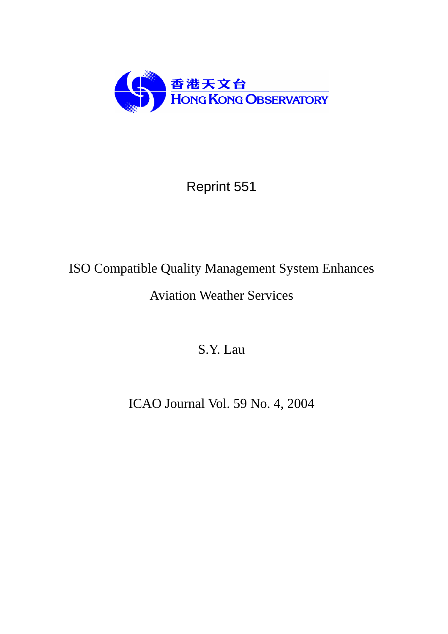

## Reprint 551

## ISO Compatible Quality Management System Enhances Aviation Weather Services

S.Y. Lau

ICAO Journal Vol. 59 No. 4, 2004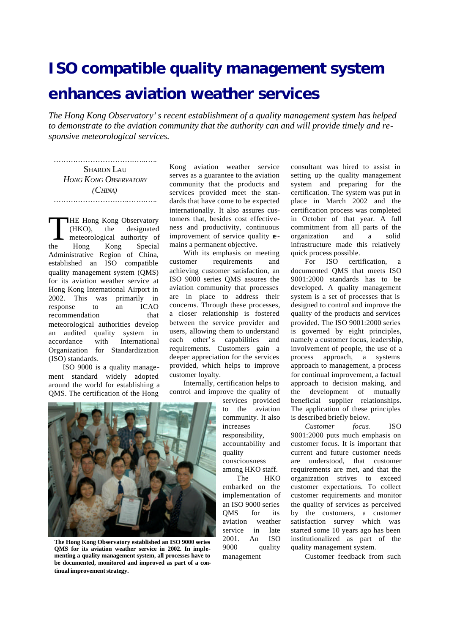## **ISO compatible quality management system enhances aviation weather services**

*The Hong Kong Observatory's recent establishment of a quality management system has helped to demonstrate to the aviation community that the authority can and will provide timely and responsive meteorological services.*

……… .……………… .… ..… ..… . SHARON LAU *HONG KONG OBSERVATORY (CHINA)* ……………………………………………

**HE Hong Kong Observatory** (HKO), the designated meteorological authority of the Hong Kong Special Administrative Region of China, established an ISO compatible quality management system (QMS) for its aviation weather service at Hong Kong International Airport in 2002. This was primarily in response to an ICAO recommendation that meteorological authorities develop an audited quality system in accordance with International Organization for Standardization (ISO) standards.  $\prod_{\text{the}}$ 

ISO 9000 is a quality management standard widely adopted around the world for establishing a QMS. The certification of the Hong Kong aviation weather service serves as a guarantee to the aviation community that the products and services provided meet the standards that have come to be expected internationally. It also assures customers that, besides cost effectiveness and productivity, continuous improvement of service quality  $\mathbf{r}$ mains a permanent objective.

With its emphasis on meeting customer requirements and achieving customer satisfaction, an ISO 9000 series QMS assures the aviation community that processes are in place to address their concerns. Through these processes, a closer relationship is fostered between the service provider and users, allowing them to understand each other's capabilities and requirements. Customers gain a deeper appreciation for the services provided, which helps to improve customer loyalty.

Internally, certification helps to control and improve the quality of

services provided to the aviation community. It also increases responsibility, accountability and quality consciousness among HKO staff.

The HKO embarked on the implementation of an ISO 9000 series QMS for its aviation weather service in late 2001. An ISO

9000 quality management

consultant was hired to assist in setting up the quality management system and preparing for the certification. The system was put in place in March 2002 and the certification process was completed in October of that year. A full commitment from all parts of the organization and a solid infrastructure made this relatively quick process possible.

For ISO certification, documented QMS that meets ISO 9001:2000 standards has to be developed. A quality management system is a set of processes that is designed to control and improve the quality of the products and services provided. The ISO 9001:2000 series is governed by eight principles, namely a customer focus, leadership, involvement of people, the use of a process approach, a systems approach to management, a process for continual improvement, a factual approach to decision making, and the development of mutually beneficial supplier relationships. The application of these principles is described briefly below.

*Customer focus*. ISO 9001:2000 puts much emphasis on customer focus. It is important that current and future customer needs are understood, that customer requirements are met, and that the organization strives to exceed customer expectations. To collect customer requirements and monitor the quality of services as perceived by the customers, a customer satisfaction survey which was started some 10 years ago has been institutionalized as part of the quality management system.

Customer feedback from such



**The Hong Kong Observatory established an ISO 9000 series QMS for its aviation weather service in 2002. In implementing a quality management system, all processes have to be documented, monitored and improved as part of a continual improvement strategy.**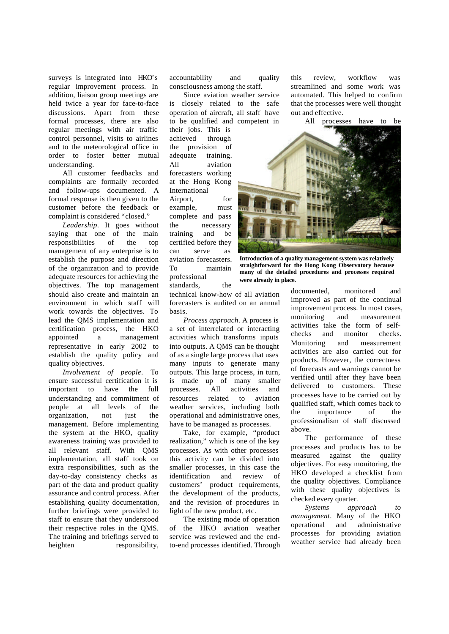surveys is integrated into HKO's regular improvement process. In addition, liaison group meetings are held twice a year for face-to-face discussions. Apart from these formal processes, there are also regular meetings with air traffic control personnel, visits to airlines and to the meteorological office in order to foster better mutual understanding.

All customer feedbacks and complaints are formally recorded and follow-ups documented. A formal response is then given to the customer before the feedback or complaint is considered "closed."

*Leadership*. It goes without saying that one of the main responsibilities of the top management of any enterprise is to establish the purpose and direction of the organization and to provide adequate resources for achieving the objectives. The top management should also create and maintain an environment in which staff will work towards the objectives. To lead the QMS implementation and certification process, the HKO appointed a management representative in early 2002 to establish the quality policy and quality objectives.

*Involvement of people*. To ensure successful certification it is important to have the full understanding and commitment of people at all levels of the organization, not just the management. Before implementing the system at the HKO, quality awareness training was provided to all relevant staff. With QMS implementation, all staff took on extra responsibilities, such as the day-to-day consistency checks as part of the data and product quality assurance and control process. After establishing quality documentation, further briefings were provided to staff to ensure that they understood their respective roles in the QMS. The training and briefings served to heighten responsibility,

accountability and quality consciousness among the staff.

Since aviation weather service is closely related to the safe operation of aircraft, all staff have to be qualified and competent in

their jobs. This is achieved through the provision of adequate training. All aviation forecasters working at the Hong Kong International

Airport, for example, must complete and pass the necessary training and be certified before they can serve as aviation forecasters. To maintain professional standards, the

technical know-how of all aviation forecasters is audited on an annual basis.

*Process approach*. A process is a set of interrelated or interacting activities which transforms inputs into outputs. A QMS can be thought of as a single large process that uses many inputs to generate many outputs. This large process, in turn, is made up of many smaller processes. All activities and resources related to aviation weather services, including both operational and administrative ones, have to be managed as processes.

Take, for example, "product realization," which is one of the key processes. As with other processes this activity can be divided into smaller processes, in this case the identification and review of customers' product requirements, the development of the products, and the revision of procedures in light of the new product, etc.

The existing mode of operation of the HKO aviation weather service was reviewed and the endto-end processes identified. Through

this review, workflow was streamlined and some work was automated. This helped to confirm that the processes were well thought out and effective.

All processes have to be



**Introduction of a quality management system was relatively straightforward for the Hong Kong Observatory because many of the detailed procedures and processes required were already in place.**

documented, monitored and improved as part of the continual improvement process. In most cases, monitoring and measurement activities take the form of selfchecks and monitor checks. Monitoring and measurement activities are also carried out for products. However, the correctness of forecasts and warnings cannot be verified until after they have been delivered to customers. These processes have to be carried out by qualified staff, which comes back to the importance of the professionalism of staff discussed above.

The performance of these processes and products has to be measured against the quality objectives. For easy monitoring, the HKO developed a checklist from the quality objectives. Compliance with these quality objectives is checked every quarter.

*Systems approach to management*. Many of the HKO operational and administrative processes for providing aviation weather service had already been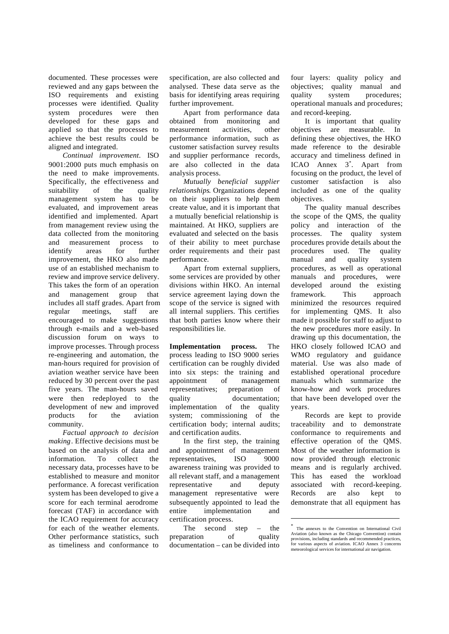documented. These processes were reviewed and any gaps between the ISO requirements and existing processes were identified. Quality system procedures were then developed for these gaps and applied so that the processes to achieve the best results could be aligned and integrated.

*Continual improvement*. ISO 9001:2000 puts much emphasis on the need to make improvements. Specifically, the effectiveness and suitability of the quality management system has to be evaluated, and improvement areas identified and implemented. Apart from management review using the data collected from the monitoring and measurement process to identify areas for further improvement, the HKO also made use of an established mechanism to review and improve service delivery. This takes the form of an operation and management group that includes all staff grades. Apart from regular meetings, staff are encouraged to make suggestions through e-mails and a web-based discussion forum on ways to improve processes. Through process re-engineering and automation, the man-hours required for provision of aviation weather service have been reduced by 30 percent over the past five years. The man-hours saved were then redeployed to the development of new and improved products for the aviation community.

*Factual approach to decision making*. Effective decisions must be based on the analysis of data and information. To collect the necessary data, processes have to be established to measure and monitor performance. A forecast verification system has been developed to give a score for each terminal aerodrome forecast (TAF) in accordance with the ICAO requirement for accuracy for each of the weather elements. Other performance statistics, such as timeliness and conformance to specification, are also collected and analysed. These data serve as the basis for identifying areas requiring further improvement.

Apart from performance data obtained from monitoring and measurement activities, other performance information, such as customer satisfaction survey results and supplier performance records, are also collected in the data analysis process.

*Mutually beneficial supplier relationships*. Organizations depend on their suppliers to help them create value, and it is important that a mutually beneficial relationship is maintained. At HKO, suppliers are evaluated and selected on the basis of their ability to meet purchase order requirements and their past performance.

Apart from external suppliers, some services are provided by other divisions within HKO. An internal service agreement laying down the scope of the service is signed with all internal suppliers. This certifies that both parties know where their responsibilities lie.

**Implementation process.** The process leading to ISO 9000 series certification can be roughly divided into six steps: the training and appointment of management representatives; preparation of quality documentation; implementation of the quality system; commissioning of the certification body; internal audits; and certification audits.

In the first step, the training and appointment of management representatives, ISO 9000 awareness training was provided to all relevant staff, and a management representative and deputy management representative were subsequently appointed to lead the entire implementation and certification process.

The second step – the preparation of quality documentation – can be divided into

four layers: quality policy and objectives; quality manual and quality system procedures; operational manuals and procedures; and record-keeping.

It is important that quality objectives are measurable. In defining these objectives, the HKO made reference to the desirable accuracy and timeliness defined in ICAO Annex 3<sup>\*</sup>. Apart from focusing on the product, the level of customer satisfaction is also included as one of the quality objectives.

The quality manual describes the scope of the QMS, the quality policy and interaction of the processes. The quality system procedures provide details about the procedures used. The quality manual and quality system procedures, as well as operational manuals and procedures, were developed around the existing framework. This approach minimized the resources required for implementing QMS. It also made it possible for staff to adjust to the new procedures more easily. In drawing up this documentation, the HKO closely followed ICAO and WMO regulatory and guidance material. Use was also made of established operational procedure manuals which summarize the know-how and work procedures that have been developed over the years.

Records are kept to provide traceability and to demonstrate conformance to requirements and effective operation of the QMS. Most of the weather information is now provided through electronic means and is regularly archived. This has eased the workload associated with record-keeping. Records are also kept to demonstrate that all equipment has

l

<sup>\*</sup> The annexes to the Convention on International Civil Aviation (also known as the Chicago Convention) contain provisions, including standards and recommended practices, for various aspects of aviation. ICAO Annex 3 concerns meteorological services for international air navigation.